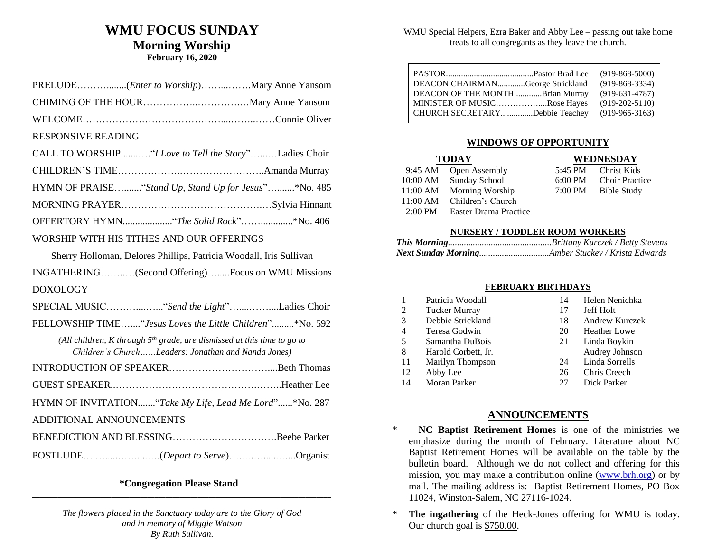# **WMU FOCUS SUNDAY Morning Worship February 16, 2020**

| RESPONSIVE READING                                     |
|--------------------------------------------------------|
| CALL TO WORSHIP" Love to Tell the Story"Ladies Choir   |
|                                                        |
| HYMN OF PRAISE "Stand Up, Stand Up for Jesus" *No. 485 |
|                                                        |
| OFFERTORY HYMN"The Solid Rock"*No. 406                 |
| WORSHIP WITH HIS TITHES AND OUR OFFERINGS              |

Sherry Holloman, Delores Phillips, Patricia Woodall, Iris Sullivan

INGATHERING……..…(Second Offering)….....Focus on WMU Missions DOXOLOGY

SPECIAL MUSIC………....…..."*Send the Light*"…....……....Ladies Choir

FELLOWSHIP TIME…...."*Jesus Loves the Little Children*".........\*No. 592

*(All children, K through 5th grade, are dismissed at this time to go to Children's Church……Leaders: Jonathan and Nanda Jones)*

INTRODUCTION OF SPEAKER…………………………....Beth Thomas

GUEST SPEAKER..…………………………………….……..Heather Lee

HYMN OF INVITATION......."*Take My Life, Lead Me Lord*"......\*No. 287

# ADDITIONAL ANNOUNCEMENTS

|--|--|--|

POSTLUDE….….....……....….(*Depart to Serve*)……..…......…...Organist

#### **\*Congregation Please Stand \_\_\_\_\_\_\_\_\_\_\_\_\_\_\_\_\_\_\_\_\_\_\_\_\_\_\_\_\_\_\_\_\_\_\_\_\_\_\_\_\_\_\_\_\_\_\_\_\_\_\_\_\_\_\_\_\_\_\_\_\_\_\_\_\_\_\_\_\_\_\_\_\_\_\_\_\_\_\_\_\_\_\_**

*The flowers placed in the Sanctuary today are to the Glory of God and in memory of Miggie Watson By Ruth Sullivan.*

WMU Special Helpers, Ezra Baker and Abby Lee – passing out take home treats to all congregants as they leave the church.

| DEACON OF THE MONTHBrian Murray                    | $(919 - 868 - 5000)$ |
|----------------------------------------------------|----------------------|
| $(919-202-5110)$                                   | $(919 - 868 - 3334)$ |
| MINISTER OF MUSICRose Hayes                        | $(919-631-4787)$     |
| CHURCH SECRETARYDebbie Teachey<br>$(919-965-3163)$ |                      |

# **WINDOWS OF OPPORTUNITY**

# **TODAY WEDNESDAY**

| 9:45 AM Open Assembly         |  | 5:45 PM Christ Kids    |
|-------------------------------|--|------------------------|
| 10:00 AM Sunday School        |  | 6:00 PM Choir Practice |
| 11:00 AM Morning Worship      |  | 7:00 PM Bible Study    |
| 11:00 AM Children's Church    |  |                        |
| 2:00 PM Easter Drama Practice |  |                        |

# **NURSERY / TODDLER ROOM WORKERS**

#### **FEBRUARY BIRTHDAYS**

| 1  | Patricia Woodall     | 14 | Helen Nenichka        |
|----|----------------------|----|-----------------------|
| 2  | <b>Tucker Murray</b> | 17 | Jeff Holt             |
| 3  | Debbie Strickland    | 18 | <b>Andrew Kurczek</b> |
| 4  | Teresa Godwin        | 20 | <b>Heather Lowe</b>   |
| 5  | Samantha DuBois      | 21 | Linda Boykin          |
| 8  | Harold Corbett, Jr.  |    | Audrey Johnson        |
| 11 | Marilyn Thompson     | 24 | Linda Sorrells        |
| 12 | Abby Lee             | 26 | Chris Creech          |
| 14 | <b>Moran Parker</b>  | 27 | Dick Parker           |

# **ANNOUNCEMENTS**

- \* **NC Baptist Retirement Homes** is one of the ministries we emphasize during the month of February. Literature about NC Baptist Retirement Homes will be available on the table by the bulletin board. Although we do not collect and offering for this mission, you may make a contribution online [\(www.brh.org\)](http://www.brh.org/) or by mail. The mailing address is: Baptist Retirement Homes, PO Box 11024, Winston-Salem, NC 27116-1024.
- \* **The ingathering** of the Heck-Jones offering for WMU is today. Our church goal is \$750.00.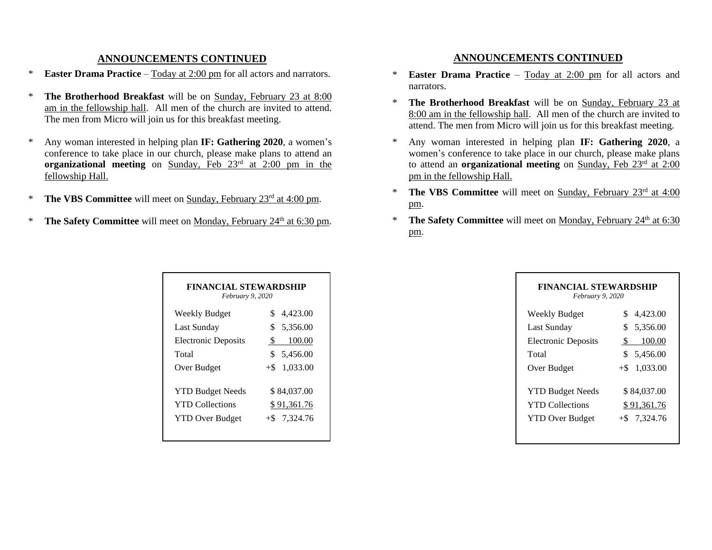# **ANNOUNCEMENTS CONTINUED**

- \* **Easter Drama Practice** Today at 2:00 pm for all actors and narrators.
- \* **The Brotherhood Breakfast** will be on Sunday, February 23 at 8:00 am in the fellowship hall. All men of the church are invited to attend. The men from Micro will join us for this breakfast meeting.
- \* Any woman interested in helping plan **IF: Gathering 2020**, a women's conference to take place in our church, please make plans to attend an **organizational meeting** on Sunday, Feb 23<sup>rd</sup> at 2:00 pm in the fellowship Hall.
- \* **The VBS Committee** will meet on Sunday, February 23rd at 4:00 pm.
- \* **The Safety Committee** will meet on Monday, February 24<sup>th</sup> at 6:30 pm.

# **ANNOUNCEMENTS CONTINUED**

- \* **Easter Drama Practice** Today at 2:00 pm for all actors and narrators.
- \* **The Brotherhood Breakfast** will be on Sunday, February 23 at 8:00 am in the fellowship hall. All men of the church are invited to attend. The men from Micro will join us for this breakfast meeting.
- \* Any woman interested in helping plan **IF: Gathering 2020**, a women's conference to take place in our church, please make plans to attend an **organizational meeting** on Sunday, Feb 23rd at 2:00 pm in the fellowship Hall.
- \* **The VBS Committee** will meet on Sunday, February 23rd at 4:00 pm.
- \* **The Safety Committee** will meet on Monday, February 24<sup>th</sup> at 6:30 pm.

| <b>FINANCIAL STEWARDSHIP</b><br>February 9, 2020 |                        |
|--------------------------------------------------|------------------------|
| Weekly Budget                                    | \$<br>4,423.00         |
| Last Sunday                                      | \$<br>5,356.00         |
| <b>Electronic Deposits</b>                       | 100.00<br><sup>S</sup> |
| Total                                            | \$<br>5,456.00         |
| Over Budget                                      | $+\$$<br>1,033.00      |
| <b>YTD Budget Needs</b>                          | \$84,037.00            |
| <b>YTD</b> Collections                           | \$ 91,361.76           |
| <b>YTD Over Budget</b>                           | $+$ \$ 7,324.76        |

| <b>FINANCIAL STEWARDSHIP</b><br>February 9, 2020                            |                                               |
|-----------------------------------------------------------------------------|-----------------------------------------------|
| Weekly Budget                                                               | 4,423.00<br>\$                                |
| Last Sunday                                                                 | S.<br>5,356.00                                |
| <b>Electronic Deposits</b>                                                  | 100.00<br>-S                                  |
| Total                                                                       | S.<br>5,456.00                                |
| Over Budget                                                                 | 1,033.00<br>$+$ \$                            |
| <b>YTD Budget Needs</b><br><b>YTD Collections</b><br><b>YTD Over Budget</b> | \$84,037.00<br>\$91,361.76<br>$+$ \$ 7,324.76 |
|                                                                             |                                               |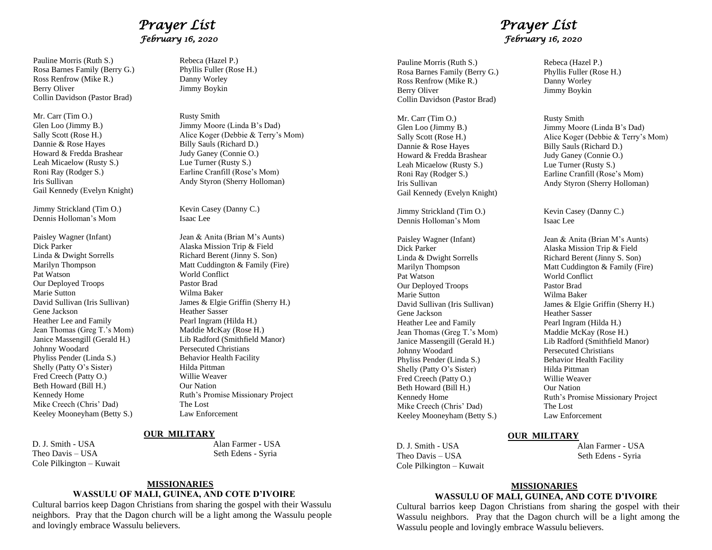# *Prayer List February 16, 2020*

Pauline Morris (Ruth S.) Rebeca (Hazel P.) Rosa Barnes Family (Berry G.) Phyllis Fuller (Rose H.) Ross Renfrow (Mike R.) Danny Worley Berry Oliver Jimmy Boykin Collin Davidson (Pastor Brad)

Mr. Carr (Tim O.) Rusty Smith Glen Loo (Jimmy B.) Jimmy Moore (Linda B's Dad) Dannie & Rose Hayes Billy Sauls (Richard D.) Howard & Fredda Brashear Judy Ganey (Connie O.)<br>
Leah Micaelow (Rusty S.) Lue Turner (Rusty S.) Leah Micaelow (Rusty S.) Roni Ray (Rodger S.) Earline Cranfill (Rose's Mom) Gail Kennedy (Evelyn Knight)

Jimmy Strickland (Tim O.) Kevin Casey (Danny C.) Dennis Holloman's Mom Isaac Lee

Dick Parker Alaska Mission Trip & Field Linda & Dwight Sorrells Richard Berent (Jinny S. Son) Pat Watson World Conflict Our Deployed Troops Pastor Brad Marie Sutton Wilma Baker Heather Lee and Family Pearl Ingram (Hilda H.) Jean Thomas (Greg T.'s Mom) Maddie McKay (Rose H.) Johnny Woodard Persecuted Christians Phyliss Pender (Linda S.) Behavior Health Facility Shelly (Patty O's Sister) Hilda Pittman Fred Creech (Patty O.) Willie Weaver Beth Howard (Bill H.) Our Nation Mike Creech (Chris' Dad) The Lost Keeley Mooneyham (Betty S.) Law Enforcement

D. J. Smith - USA Alan Farmer - USA Theo Davis – USA Seth Edens - Syria Cole Pilkington – Kuwait

Sally Scott (Rose H.) Alice Koger (Debbie & Terry's Mom) Iris Sullivan Andy Styron (Sherry Holloman)

Paisley Wagner (Infant) Jean & Anita (Brian M's Aunts) Marilyn Thompson Matt Cuddington & Family (Fire) David Sullivan (Iris Sullivan) James & Elgie Griffin (Sherry H.)<br>
Gene Jackson Heather Sasser Heather Sasser Janice Massengill (Gerald H.) Lib Radford (Smithfield Manor) Kennedy Home Ruth's Promise Missionary Project

#### **OUR MILITARY**

#### **MISSIONARIES WASSULU OF MALI, GUINEA, AND COTE D'IVOIRE**

Cultural barrios keep Dagon Christians from sharing the gospel with their Wassulu neighbors. Pray that the Dagon church will be a light among the Wassulu people and lovingly embrace Wassulu believers.

# *Prayer List February 16, 2020*

Pauline Morris (Ruth S.) Rebeca (Hazel P.) Rosa Barnes Family (Berry G.) Phyllis Fuller (Rose H.) Ross Renfrow (Mike R.) Danny Worley Berry Oliver Jimmy Boykin Collin Davidson (Pastor Brad)

Mr. Carr (Tim O.) Rusty Smith Glen Loo (Jimmy B.) Jimmy Moore (Linda B's Dad) Dannie & Rose Hayes Billy Sauls (Richard D.) Howard & Fredda Brashear Judy Ganey (Connie O.) Leah Micaelow (Rusty S.) Lue Turner (Rusty S.) Gail Kennedy (Evelyn Knight)

Dennis Holloman's Mom Isaac Lee

Dick Parker Alaska Mission Trip & Field Linda & Dwight Sorrells Richard Berent (Jinny S. Son) Pat Watson World Conflict Our Deployed Troops Pastor Brad Marie Sutton Wilma Baker Gene Jackson Heather Sasser Heather Lee and Family Pearl Ingram (Hilda H.) Jean Thomas (Greg T.'s Mom) Maddie McKay (Rose H.) Johnny Woodard Persecuted Christians Phyliss Pender (Linda S.) Behavior Health Facility Shelly (Patty O's Sister) Hilda Pittman Fred Creech (Patty O.) Willie Weaver Beth Howard (Bill H.) Our Nation Mike Creech (Chris' Dad) The Lost Keeley Mooneyham (Betty S.) Law Enforcement

Sally Scott (Rose H.) Alice Koger (Debbie & Terry's Mom) Roni Ray (Rodger S.) Earline Cranfill (Rose's Mom) Iris Sullivan Andy Styron (Sherry Holloman)

Jimmy Strickland (Tim O.) Kevin Casey (Danny C.)

Paisley Wagner (Infant) Jean & Anita (Brian M's Aunts) Marilyn Thompson Matt Cuddington & Family (Fire) David Sullivan (Iris Sullivan) James & Elgie Griffin (Sherry H.) Janice Massengill (Gerald H.) Lib Radford (Smithfield Manor) Kennedy Home Ruth's Promise Missionary Project

#### **OUR MILITARY**

D. J. Smith - USA Alan Farmer - USA Theo Davis – USA Seth Edens - Syria Cole Pilkington – Kuwait

# **MISSIONARIES**

 **WASSULU OF MALI, GUINEA, AND COTE D'IVOIRE**

Cultural barrios keep Dagon Christians from sharing the gospel with their Wassulu neighbors. Pray that the Dagon church will be a light among the Wassulu people and lovingly embrace Wassulu believers.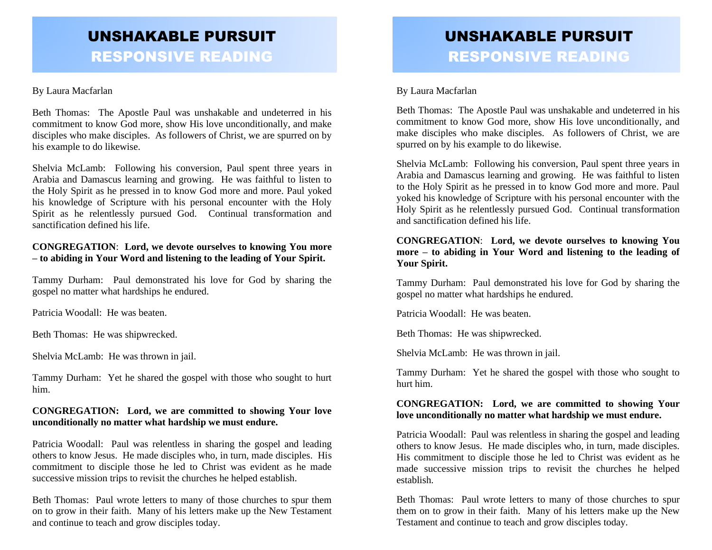# UNSHAKABLE PURSUIT RESPONSIVE READING

### By Laura Macfarlan

Beth Thomas: The Apostle Paul was unshakable and undeterred in his commitment to know God more, show His love unconditionally, and make disciples who make disciples. As followers of Christ, we are spurred on by his example to do likewise.

Shelvia McLamb: Following his conversion, Paul spent three years in Arabia and Damascus learning and growing. He was faithful to listen to the Holy Spirit as he pressed in to know God more and more. Paul yoked his knowledge of Scripture with his personal encounter with the Holy Spirit as he relentlessly pursued God. Continual transformation and sanctification defined his life.

# **CONGREGATION**: **Lord, we devote ourselves to knowing You more – to abiding in Your Word and listening to the leading of Your Spirit.**

Tammy Durham: Paul demonstrated his love for God by sharing the gospel no matter what hardships he endured.

Patricia Woodall: He was beaten.

Beth Thomas: He was shipwrecked.

Shelvia McLamb: He was thrown in jail.

Tammy Durham: Yet he shared the gospel with those who sought to hurt him.

# **CONGREGATION: Lord, we are committed to showing Your love unconditionally no matter what hardship we must endure.**

Patricia Woodall: Paul was relentless in sharing the gospel and leading others to know Jesus. He made disciples who, in turn, made disciples. His commitment to disciple those he led to Christ was evident as he made successive mission trips to revisit the churches he helped establish.

Beth Thomas: Paul wrote letters to many of those churches to spur them on to grow in their faith. Many of his letters make up the New Testament and continue to teach and grow disciples today.

# UNSHAKABLE PURSUIT RESPONSIVE READING

By Laura Macfarlan

Beth Thomas: The Apostle Paul was unshakable and undeterred in his commitment to know God more, show His love unconditionally, and make disciples who make disciples. As followers of Christ, we are spurred on by his example to do likewise.

Shelvia McLamb: Following his conversion, Paul spent three years in Arabia and Damascus learning and growing. He was faithful to listen to the Holy Spirit as he pressed in to know God more and more. Paul yoked his knowledge of Scripture with his personal encounter with the Holy Spirit as he relentlessly pursued God. Continual transformation and sanctification defined his life.

# **CONGREGATION**: **Lord, we devote ourselves to knowing You more – to abiding in Your Word and listening to the leading of Your Spirit.**

Tammy Durham: Paul demonstrated his love for God by sharing the gospel no matter what hardships he endured.

Patricia Woodall: He was beaten.

Beth Thomas: He was shipwrecked.

Shelvia McLamb: He was thrown in jail.

Tammy Durham: Yet he shared the gospel with those who sought to hurt him.

# **CONGREGATION: Lord, we are committed to showing Your love unconditionally no matter what hardship we must endure.**

Patricia Woodall: Paul was relentless in sharing the gospel and leading others to know Jesus. He made disciples who, in turn, made disciples. His commitment to disciple those he led to Christ was evident as he made successive mission trips to revisit the churches he helped establish.

Beth Thomas: Paul wrote letters to many of those churches to spur them on to grow in their faith. Many of his letters make up the New Testament and continue to teach and grow disciples today.